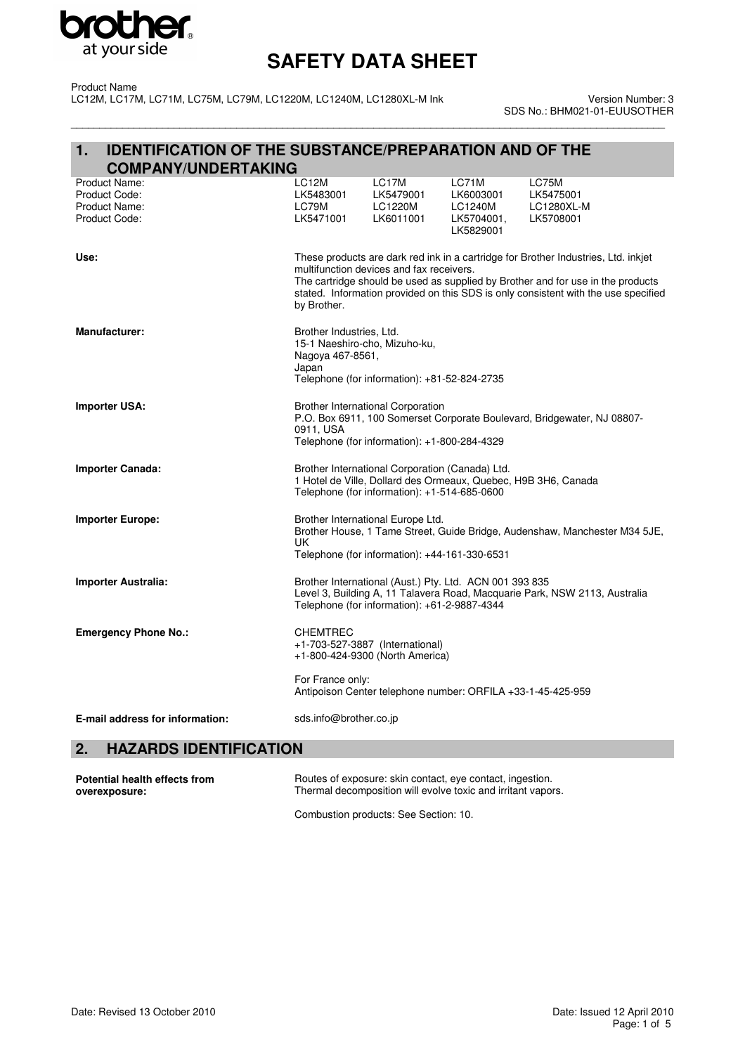

Product Name LC12M, LC17M, LC71M, LC75M, LC79M, LC1220M, LC1240M, LC1280XL-M Ink

\_\_\_\_\_\_\_\_\_\_\_\_\_\_\_\_\_\_\_\_\_\_\_\_\_\_\_\_\_\_\_\_\_\_\_\_\_\_\_\_\_\_\_\_\_\_\_\_\_\_\_\_\_\_\_\_\_\_\_\_\_\_\_\_\_\_\_\_\_\_\_\_\_\_\_\_\_\_\_\_\_\_\_\_\_\_\_\_\_\_\_\_\_\_\_\_\_\_\_\_\_\_\_\_ Version Number: 3 SDS No.: BHM021-01-EUUSOTHER

#### **1. IDENTIFICATION OF THE SUBSTANCE/PREPARATION AND OF THE COMPANY/UNDERTAKING**

| Product Name:<br>Product Code:<br>Product Name:<br>Product Code: | LC12M<br>LK5483001<br>LC79M<br>LK5471001                                                                                                                                                                                                                                                                               | LC17M<br>LK5479001<br>LC1220M<br>LK6011001   | LC71M<br>LK6003001<br>LC1240M<br>LK5704001,<br>LK5829001    | LC75M<br>LK5475001<br>LC1280XL-M<br>LK5708001 |
|------------------------------------------------------------------|------------------------------------------------------------------------------------------------------------------------------------------------------------------------------------------------------------------------------------------------------------------------------------------------------------------------|----------------------------------------------|-------------------------------------------------------------|-----------------------------------------------|
| Use:                                                             | These products are dark red ink in a cartridge for Brother Industries, Ltd. inkjet<br>multifunction devices and fax receivers.<br>The cartridge should be used as supplied by Brother and for use in the products<br>stated. Information provided on this SDS is only consistent with the use specified<br>by Brother. |                                              |                                                             |                                               |
| <b>Manufacturer:</b>                                             | Brother Industries, Ltd.<br>15-1 Naeshiro-cho, Mizuho-ku,<br>Nagoya 467-8561,<br>Japan                                                                                                                                                                                                                                 | Telephone (for information): +81-52-824-2735 |                                                             |                                               |
| <b>Importer USA:</b>                                             | <b>Brother International Corporation</b><br>P.O. Box 6911, 100 Somerset Corporate Boulevard, Bridgewater, NJ 08807-<br>0911, USA<br>Telephone (for information): +1-800-284-4329                                                                                                                                       |                                              |                                                             |                                               |
| <b>Importer Canada:</b>                                          | Brother International Corporation (Canada) Ltd.<br>1 Hotel de Ville, Dollard des Ormeaux, Quebec, H9B 3H6, Canada<br>Telephone (for information): +1-514-685-0600                                                                                                                                                      |                                              |                                                             |                                               |
| <b>Importer Europe:</b>                                          | Brother International Europe Ltd.<br>Brother House, 1 Tame Street, Guide Bridge, Audenshaw, Manchester M34 5JE,<br>UK.<br>Telephone (for information): +44-161-330-6531                                                                                                                                                |                                              |                                                             |                                               |
| <b>Importer Australia:</b>                                       | Brother International (Aust.) Pty. Ltd. ACN 001 393 835<br>Level 3, Building A, 11 Talavera Road, Macquarie Park, NSW 2113, Australia<br>Telephone (for information): +61-2-9887-4344                                                                                                                                  |                                              |                                                             |                                               |
| <b>Emergency Phone No.:</b>                                      | <b>CHEMTREC</b><br>+1-703-527-3887 (International)                                                                                                                                                                                                                                                                     | +1-800-424-9300 (North America)              |                                                             |                                               |
|                                                                  | For France only:                                                                                                                                                                                                                                                                                                       |                                              | Antipoison Center telephone number: ORFILA +33-1-45-425-959 |                                               |
| E-mail address for information:                                  | sds.info@brother.co.jp                                                                                                                                                                                                                                                                                                 |                                              |                                                             |                                               |

## **2. HAZARDS IDENTIFICATION**

| Potential health effects from | Routes of exposure: skin contact, eye contact, ingestion.    |
|-------------------------------|--------------------------------------------------------------|
| overexposure:                 | Thermal decomposition will evolve toxic and irritant vapors. |
|                               |                                                              |

Combustion products: See Section: 10.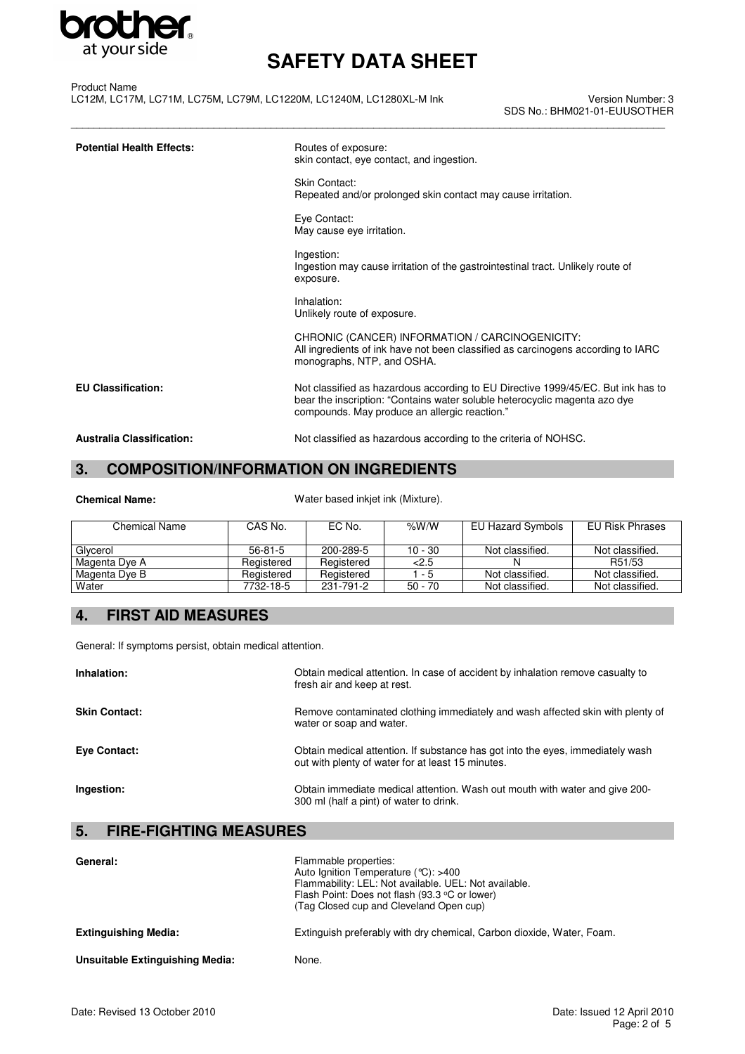

\_\_\_\_\_\_\_\_\_\_\_\_\_\_\_\_\_\_\_\_\_\_\_\_\_\_\_\_\_\_\_\_\_\_\_\_\_\_\_\_\_\_\_\_\_\_\_\_\_\_\_\_\_\_\_\_\_\_\_\_\_\_\_\_\_\_\_\_\_\_\_\_\_\_\_\_\_\_\_\_\_\_\_\_\_\_\_\_\_\_\_\_\_\_\_\_\_\_\_\_\_\_\_\_

Product Name LC12M, LC17M, LC71M, LC75M, LC79M, LC1220M, LC1240M, LC1280XL-M Ink

Version Number: 3 SDS No.: BHM021-01-EUUSOTHER

| <b>Potential Health Effects:</b> | Routes of exposure:<br>skin contact, eye contact, and ingestion.                                                                                                                                                |  |
|----------------------------------|-----------------------------------------------------------------------------------------------------------------------------------------------------------------------------------------------------------------|--|
|                                  | Skin Contact:<br>Repeated and/or prolonged skin contact may cause irritation.                                                                                                                                   |  |
|                                  | Eye Contact:<br>May cause eye irritation.                                                                                                                                                                       |  |
|                                  | Ingestion:<br>Ingestion may cause irritation of the gastrointestinal tract. Unlikely route of<br>exposure.                                                                                                      |  |
|                                  | Inhalation:<br>Unlikely route of exposure.                                                                                                                                                                      |  |
|                                  | CHRONIC (CANCER) INFORMATION / CARCINOGENICITY:<br>All ingredients of ink have not been classified as carcinogens according to IARC<br>monographs, NTP, and OSHA.                                               |  |
| <b>EU Classification:</b>        | Not classified as hazardous according to EU Directive 1999/45/EC. But ink has to<br>bear the inscription: "Contains water soluble heterocyclic magenta azo dye<br>compounds. May produce an allergic reaction." |  |
| <b>Australia Classification:</b> | Not classified as hazardous according to the criteria of NOHSC.                                                                                                                                                 |  |

## **3. COMPOSITION/INFORMATION ON INGREDIENTS**

|  | <b>Chemical Name:</b> |
|--|-----------------------|
|  |                       |

Water based inkjet ink (Mixture).

| Chemical Name | CAS No.    | EC No.     | % $W/W$   | EU Hazard Symbols | EU Risk Phrases |
|---------------|------------|------------|-----------|-------------------|-----------------|
|               |            |            |           |                   |                 |
| Glycerol      | $56-81-5$  | 200-289-5  | 10 - 30   | Not classified.   | Not classified. |
| Magenta Dye A | Registered | Registered | 2.5       |                   | R51/53          |
| Magenta Dye B | Registered | Registered | 1 - 5     | Not classified.   | Not classified. |
| Water         | 7732-18-5  | 231-791-2  | $50 - 70$ | Not classified.   | Not classified. |

### **4. FIRST AID MEASURES**

General: If symptoms persist, obtain medical attention.

| Inhalation:          | Obtain medical attention. In case of accident by inhalation remove casualty to<br>fresh air and keep at rest.                       |
|----------------------|-------------------------------------------------------------------------------------------------------------------------------------|
| <b>Skin Contact:</b> | Remove contaminated clothing immediately and wash affected skin with plenty of<br>water or soap and water.                          |
| <b>Eve Contact:</b>  | Obtain medical attention. If substance has got into the eyes, immediately wash<br>out with plenty of water for at least 15 minutes. |
| Ingestion:           | Obtain immediate medical attention. Wash out mouth with water and give 200-<br>300 ml (half a pint) of water to drink.              |

### **5. FIRE-FIGHTING MEASURES**

| General:                        | Flammable properties:<br>Auto Ignition Temperature ( $°C$ ): >400<br>Flammability: LEL: Not available. UEL: Not available.<br>Flash Point: Does not flash (93.3 °C or lower)<br>(Tag Closed cup and Cleveland Open cup) |
|---------------------------------|-------------------------------------------------------------------------------------------------------------------------------------------------------------------------------------------------------------------------|
| <b>Extinguishing Media:</b>     | Extinguish preferably with dry chemical, Carbon dioxide, Water, Foam.                                                                                                                                                   |
| Unsuitable Extinguishing Media: | None.                                                                                                                                                                                                                   |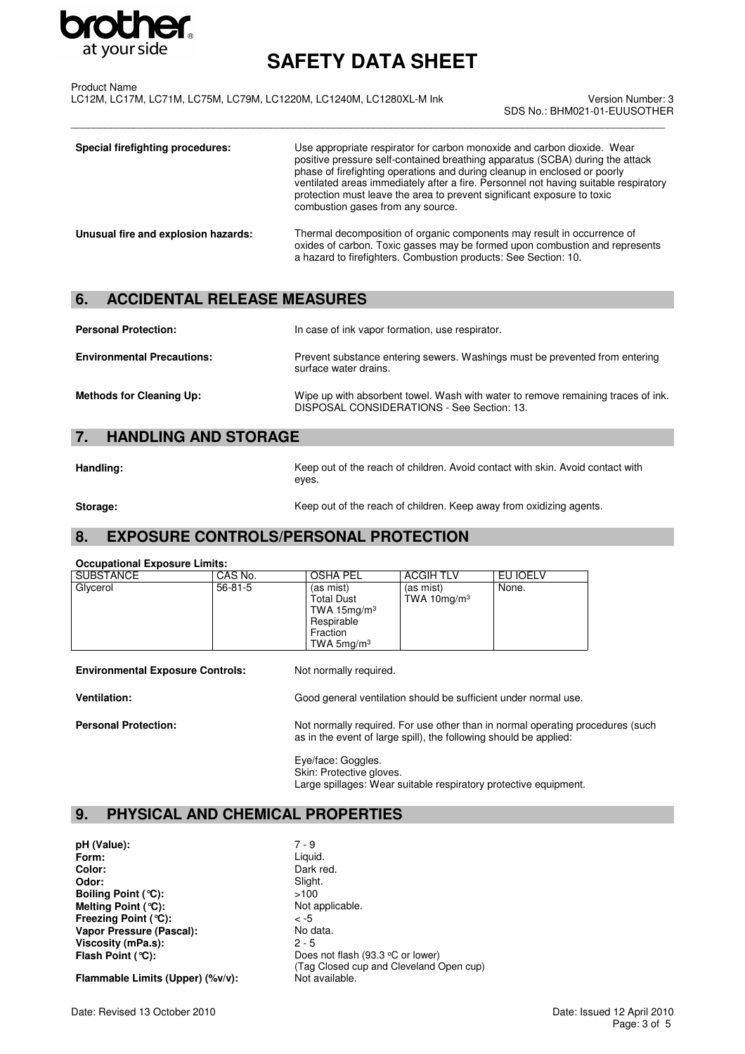

\_\_\_\_\_\_\_\_\_\_\_\_\_\_\_\_\_\_\_\_\_\_\_\_\_\_\_\_\_\_\_\_\_\_\_\_\_\_\_\_\_\_\_\_\_\_\_\_\_\_\_\_\_\_\_\_\_\_\_\_\_\_\_\_\_\_\_\_\_\_\_\_\_\_\_\_\_\_\_\_\_\_\_\_\_\_\_\_\_\_\_\_\_\_\_\_\_\_\_\_\_\_\_\_

Product Name LC12M, LC17M, LC71M, LC75M, LC79M, LC1220M, LC1240M, LC1280XL-M Ink

Version Number: 3 SDS No.: BHM021-01-EUUSOTHER

| Special firefighting procedures:    | Use appropriate respirator for carbon monoxide and carbon dioxide. Wear<br>positive pressure self-contained breathing apparatus (SCBA) during the attack<br>phase of firefighting operations and during cleanup in enclosed or poorly<br>ventilated areas immediately after a fire. Personnel not having suitable respiratory<br>protection must leave the area to prevent significant exposure to toxic<br>combustion gases from any source. |
|-------------------------------------|-----------------------------------------------------------------------------------------------------------------------------------------------------------------------------------------------------------------------------------------------------------------------------------------------------------------------------------------------------------------------------------------------------------------------------------------------|
| Unusual fire and explosion hazards: | Thermal decomposition of organic components may result in occurrence of<br>oxides of carbon. Toxic gasses may be formed upon combustion and represents<br>a hazard to firefighters. Combustion products: See Section: 10.                                                                                                                                                                                                                     |

## **6. ACCIDENTAL RELEASE MEASURES**

| <b>Personal Protection:</b>       | In case of ink vapor formation, use respirator.                                                                                |
|-----------------------------------|--------------------------------------------------------------------------------------------------------------------------------|
| <b>Environmental Precautions:</b> | Prevent substance entering sewers. Washings must be prevented from entering<br>surface water drains.                           |
| <b>Methods for Cleaning Up:</b>   | Wipe up with absorbent towel. Wash with water to remove remaining traces of ink.<br>DISPOSAL CONSIDERATIONS - See Section: 13. |

### **7. HANDLING AND STORAGE**

**Handling:** Keep out of the reach of children. Avoid contact with skin. Avoid contact with eyes.

**Storage: Keep out of the reach of children. Keep away from oxidizing agents.** 

### **8. EXPOSURE CONTROLS/PERSONAL PROTECTION**

#### **Occupational Exposure Limits:**

| <b>SUBSTANCE</b> | CAS No.       | <b>OSHA PEL</b>                                                                            | <b>ACGIH TLV</b>            | EU IOELV |
|------------------|---------------|--------------------------------------------------------------------------------------------|-----------------------------|----------|
| Glycerol         | $56 - 81 - 5$ | (as mist)<br><b>Total Dust</b><br>TWA 15 $mg/m3$<br>Respirable<br>Fraction<br>TWA $5mq/m3$ | (as mist)<br>TWA 10 $mg/m3$ | None.    |
|                  |               |                                                                                            |                             |          |

**Environmental Exposure Controls:** Not normally required.

**Ventilation:** Good general ventilation should be sufficient under normal use.

**Personal Protection:** Not normally required. For use other than in normal operating procedures (such as in the event of large spill), the following should be applied:

> Eye/face: Goggles. Skin: Protective gloves. Large spillages: Wear suitable respiratory protective equipment.

## **9. PHYSICAL AND CHEMICAL PROPERTIES**

**pH (Value):** 7 - 9<br>**Form:** Liqui **Form:** Liquid.<br> **Color:** Dark response to the Dark response to the Dark response to the Dark response to the Dark response to the Dark response to the U **Color:** Dark red.<br> **Odor:** Slight. Slight. **Boiling Point (°C):**  $\longrightarrow$  5100<br>**Melting Point (°C):** Not applicable. **Melting Point (°C): Freezing Point (°C):**  $\le$  -5<br> **Vapor Pressure (Pascal):** No data. **Vapor Pressure (Pascal): Viscosity (mPa.s):** 2 - 5<br> **Flash Point (°C):** Does

Slight.<br>>100 Does not flash (93.3 °C or lower) (Tag Closed cup and Cleveland Open cup)<br>Not available.

Flammable Limits (Upper) (%v/v):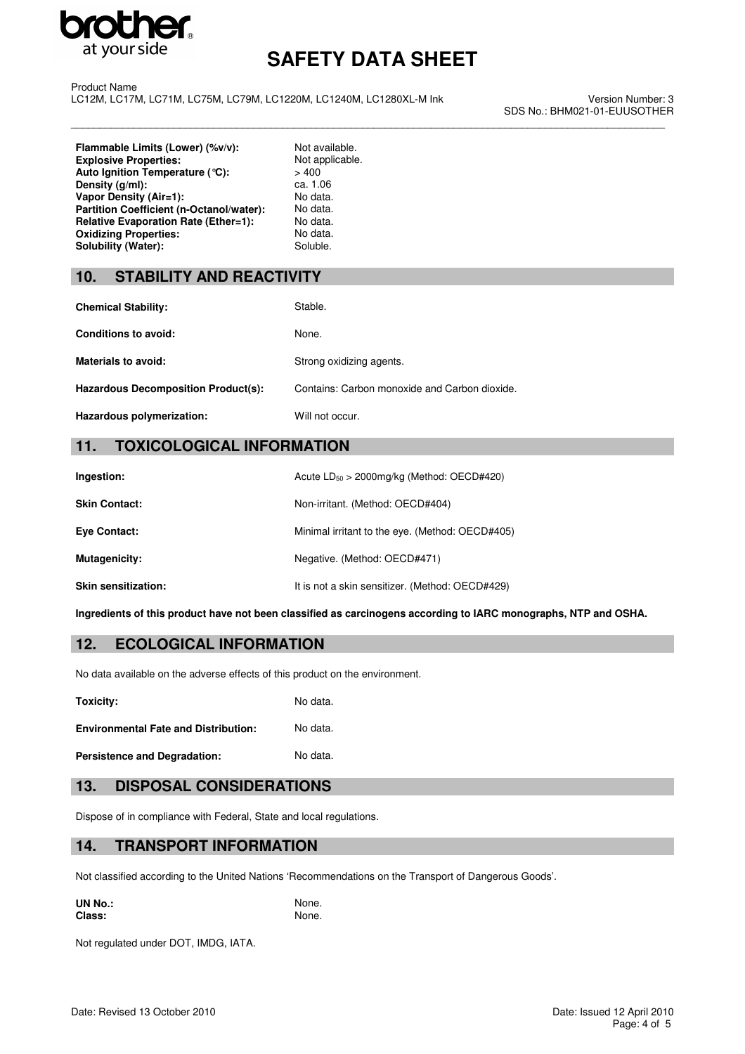

\_\_\_\_\_\_\_\_\_\_\_\_\_\_\_\_\_\_\_\_\_\_\_\_\_\_\_\_\_\_\_\_\_\_\_\_\_\_\_\_\_\_\_\_\_\_\_\_\_\_\_\_\_\_\_\_\_\_\_\_\_\_\_\_\_\_\_\_\_\_\_\_\_\_\_\_\_\_\_\_\_\_\_\_\_\_\_\_\_\_\_\_\_\_\_\_\_\_\_\_\_\_\_\_

Product Name LC12M, LC17M, LC71M, LC75M, LC79M, LC1220M, LC1240M, LC1280XL-M Ink

Version Number: 3 SDS No.: BHM021-01-EUUSOTHER

**Flammable Limits (Lower) (%v/v):** Not available.<br> **Explosive Properties:** Not applicable. **Explosive Properties:** Not applicable **Not applicable.** Not applicable. Not applicable. **Auto Ignition Temperature (°C):**  $> 400$ <br>**Density (g/ml):** ca. 1.06 **Density (g/ml):** ca. 1.06<br> **Vapor Density (Air=1):** No data. **Vapor Density (Air=1): Partition Coefficient (n-Octanol/water):** No data.<br> **Relative Evaporation Rate (Ether=1):** No data. **Relative Evaporation Rate (Ether=1): Oxidizing Properties:** No data.<br> **Solubility (Water):** Soluble. Soluble. Solubility (Water):

#### **10. STABILITY AND REACTIVITY**

| <b>Chemical Stability:</b>                 | Stable.                                       |
|--------------------------------------------|-----------------------------------------------|
| Conditions to avoid:                       | None.                                         |
| <b>Materials to avoid:</b>                 | Strong oxidizing agents.                      |
| <b>Hazardous Decomposition Product(s):</b> | Contains: Carbon monoxide and Carbon dioxide. |
| Hazardous polymerization:                  | Will not occur.                               |

#### **11. TOXICOLOGICAL INFORMATION**

| Ingestion:                 | Acute $LD_{50} > 2000$ mg/kg (Method: OECD#420) |
|----------------------------|-------------------------------------------------|
| <b>Skin Contact:</b>       | Non-irritant. (Method: OECD#404)                |
| Eye Contact:               | Minimal irritant to the eye. (Method: OECD#405) |
| Mutagenicity:              | Negative. (Method: OECD#471)                    |
| <b>Skin sensitization:</b> | It is not a skin sensitizer. (Method: OECD#429) |

**Ingredients of this product have not been classified as carcinogens according to IARC monographs, NTP and OSHA.**

#### **12. ECOLOGICAL INFORMATION**

No data available on the adverse effects of this product on the environment.

**Toxicity:** No data.

**Environmental Fate and Distribution:** No data.

Persistence and Degradation: No data.

#### **13. DISPOSAL CONSIDERATIONS**

Dispose of in compliance with Federal, State and local regulations.

#### **14. TRANSPORT INFORMATION**

Not classified according to the United Nations 'Recommendations on the Transport of Dangerous Goods'.

**UN No.:** None.<br> **Class:** None. None. **Class:** 

Not regulated under DOT, IMDG, IATA.